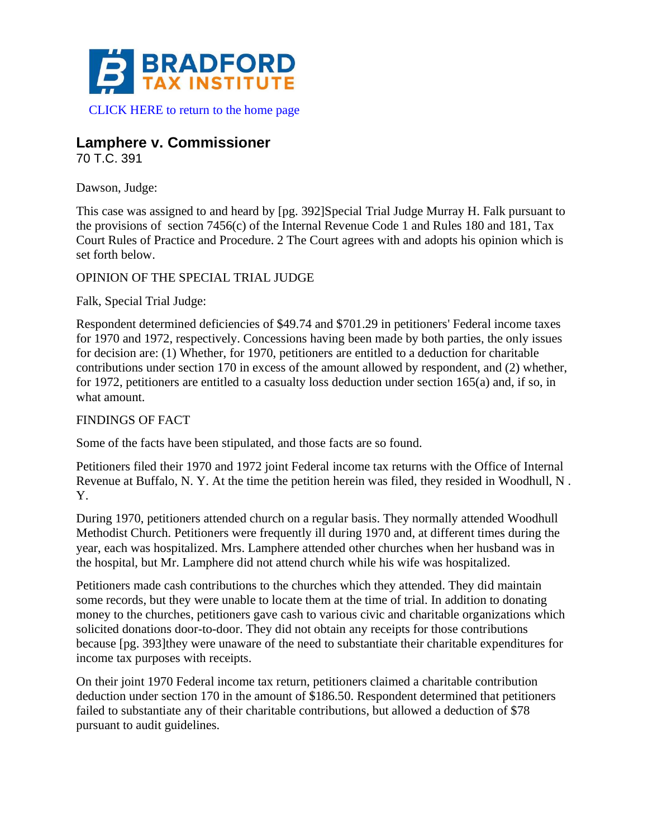

## **Lamphere v. Commissioner**

70 T.C. 391

Dawson, Judge:

This case was assigned to and heard by [pg. 392]Special Trial Judge Murray H. Falk pursuant to the provisions of section 7456(c) of the Internal Revenue Code 1 and Rules 180 and 181, Tax Court Rules of Practice and Procedure. 2 The Court agrees with and adopts his opinion which is set forth below.

## OPINION OF THE SPECIAL TRIAL JUDGE

Falk, Special Trial Judge:

Respondent determined deficiencies of \$49.74 and \$701.29 in petitioners' Federal income taxes for 1970 and 1972, respectively. Concessions having been made by both parties, the only issues for decision are: (1) Whether, for 1970, petitioners are entitled to a deduction for charitable contributions under section 170 in excess of the amount allowed by respondent, and (2) whether, for 1972, petitioners are entitled to a casualty loss deduction under section 165(a) and, if so, in what amount.

## FINDINGS OF FACT

Some of the facts have been stipulated, and those facts are so found.

Petitioners filed their 1970 and 1972 joint Federal income tax returns with the Office of Internal Revenue at Buffalo, N. Y. At the time the petition herein was filed, they resided in Woodhull, N . Y.

During 1970, petitioners attended church on a regular basis. They normally attended Woodhull Methodist Church. Petitioners were frequently ill during 1970 and, at different times during the year, each was hospitalized. Mrs. Lamphere attended other churches when her husband was in the hospital, but Mr. Lamphere did not attend church while his wife was hospitalized.

Petitioners made cash contributions to the churches which they attended. They did maintain some records, but they were unable to locate them at the time of trial. In addition to donating money to the churches, petitioners gave cash to various civic and charitable organizations which solicited donations door-to-door. They did not obtain any receipts for those contributions because [pg. 393]they were unaware of the need to substantiate their charitable expenditures for income tax purposes with receipts.

On their joint 1970 Federal income tax return, petitioners claimed a charitable contribution deduction under section 170 in the amount of \$186.50. Respondent determined that petitioners failed to substantiate any of their charitable contributions, but allowed a deduction of \$78 pursuant to audit guidelines.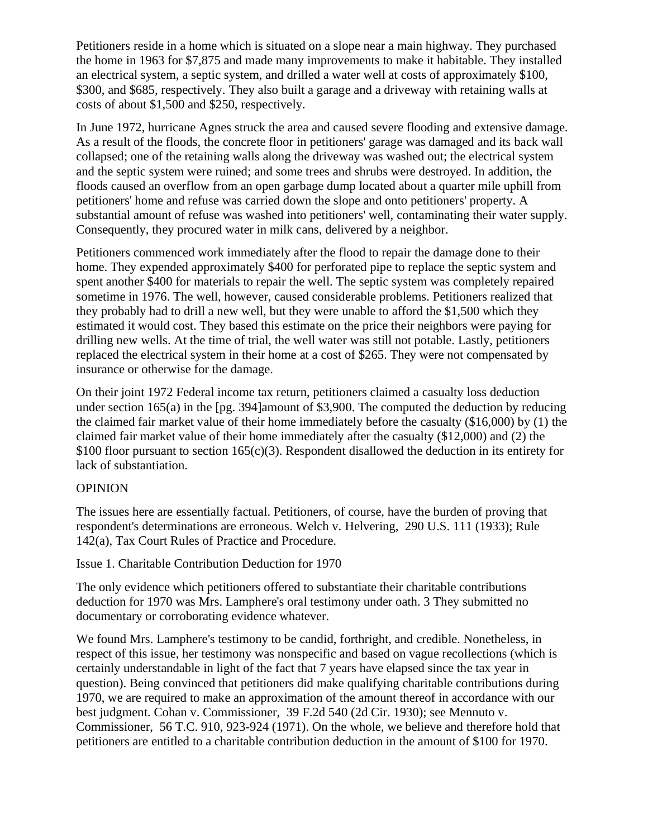Petitioners reside in a home which is situated on a slope near a main highway. They purchased the home in 1963 for \$7,875 and made many improvements to make it habitable. They installed an electrical system, a septic system, and drilled a water well at costs of approximately \$100, \$300, and \$685, respectively. They also built a garage and a driveway with retaining walls at costs of about \$1,500 and \$250, respectively.

In June 1972, hurricane Agnes struck the area and caused severe flooding and extensive damage. As a result of the floods, the concrete floor in petitioners' garage was damaged and its back wall collapsed; one of the retaining walls along the driveway was washed out; the electrical system and the septic system were ruined; and some trees and shrubs were destroyed. In addition, the floods caused an overflow from an open garbage dump located about a quarter mile uphill from petitioners' home and refuse was carried down the slope and onto petitioners' property. A substantial amount of refuse was washed into petitioners' well, contaminating their water supply. Consequently, they procured water in milk cans, delivered by a neighbor.

Petitioners commenced work immediately after the flood to repair the damage done to their home. They expended approximately \$400 for perforated pipe to replace the septic system and spent another \$400 for materials to repair the well. The septic system was completely repaired sometime in 1976. The well, however, caused considerable problems. Petitioners realized that they probably had to drill a new well, but they were unable to afford the \$1,500 which they estimated it would cost. They based this estimate on the price their neighbors were paying for drilling new wells. At the time of trial, the well water was still not potable. Lastly, petitioners replaced the electrical system in their home at a cost of \$265. They were not compensated by insurance or otherwise for the damage.

On their joint 1972 Federal income tax return, petitioners claimed a casualty loss deduction under section 165(a) in the [pg. 394]amount of \$3,900. The computed the deduction by reducing the claimed fair market value of their home immediately before the casualty (\$16,000) by (1) the claimed fair market value of their home immediately after the casualty (\$12,000) and (2) the \$100 floor pursuant to section 165(c)(3). Respondent disallowed the deduction in its entirety for lack of substantiation.

## OPINION

The issues here are essentially factual. Petitioners, of course, have the burden of proving that respondent's determinations are erroneous. Welch v. Helvering, 290 U.S. 111 (1933); Rule 142(a), Tax Court Rules of Practice and Procedure.

Issue 1. Charitable Contribution Deduction for 1970

The only evidence which petitioners offered to substantiate their charitable contributions deduction for 1970 was Mrs. Lamphere's oral testimony under oath. 3 They submitted no documentary or corroborating evidence whatever.

We found Mrs. Lamphere's testimony to be candid, forthright, and credible. Nonetheless, in respect of this issue, her testimony was nonspecific and based on vague recollections (which is certainly understandable in light of the fact that 7 years have elapsed since the tax year in question). Being convinced that petitioners did make qualifying charitable contributions during 1970, we are required to make an approximation of the amount thereof in accordance with our best judgment. Cohan v. Commissioner, 39 F.2d 540 (2d Cir. 1930); see Mennuto v. Commissioner, 56 T.C. 910, 923-924 (1971). On the whole, we believe and therefore hold that petitioners are entitled to a charitable contribution deduction in the amount of \$100 for 1970.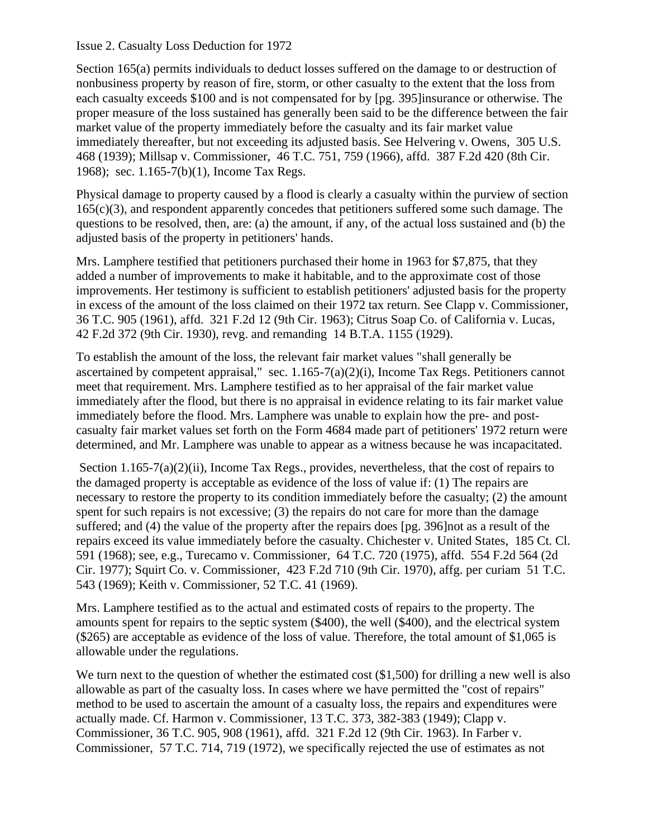Issue 2. Casualty Loss Deduction for 1972

Section 165(a) permits individuals to deduct losses suffered on the damage to or destruction of nonbusiness property by reason of fire, storm, or other casualty to the extent that the loss from each casualty exceeds \$100 and is not compensated for by [pg. 395]insurance or otherwise. The proper measure of the loss sustained has generally been said to be the difference between the fair market value of the property immediately before the casualty and its fair market value immediately thereafter, but not exceeding its adjusted basis. See Helvering v. Owens, 305 U.S. 468 (1939); Millsap v. Commissioner, 46 T.C. 751, 759 (1966), affd. 387 F.2d 420 (8th Cir. 1968); sec. 1.165-7(b)(1), Income Tax Regs.

Physical damage to property caused by a flood is clearly a casualty within the purview of section  $165(c)(3)$ , and respondent apparently concedes that petitioners suffered some such damage. The questions to be resolved, then, are: (a) the amount, if any, of the actual loss sustained and (b) the adjusted basis of the property in petitioners' hands.

Mrs. Lamphere testified that petitioners purchased their home in 1963 for \$7,875, that they added a number of improvements to make it habitable, and to the approximate cost of those improvements. Her testimony is sufficient to establish petitioners' adjusted basis for the property in excess of the amount of the loss claimed on their 1972 tax return. See Clapp v. Commissioner, 36 T.C. 905 (1961), affd. 321 F.2d 12 (9th Cir. 1963); Citrus Soap Co. of California v. Lucas, 42 F.2d 372 (9th Cir. 1930), revg. and remanding 14 B.T.A. 1155 (1929).

To establish the amount of the loss, the relevant fair market values "shall generally be ascertained by competent appraisal," sec. 1.165-7(a)(2)(i), Income Tax Regs. Petitioners cannot meet that requirement. Mrs. Lamphere testified as to her appraisal of the fair market value immediately after the flood, but there is no appraisal in evidence relating to its fair market value immediately before the flood. Mrs. Lamphere was unable to explain how the pre- and postcasualty fair market values set forth on the Form 4684 made part of petitioners' 1972 return were determined, and Mr. Lamphere was unable to appear as a witness because he was incapacitated.

Section 1.165-7(a)(2)(ii), Income Tax Regs., provides, nevertheless, that the cost of repairs to the damaged property is acceptable as evidence of the loss of value if: (1) The repairs are necessary to restore the property to its condition immediately before the casualty; (2) the amount spent for such repairs is not excessive; (3) the repairs do not care for more than the damage suffered; and (4) the value of the property after the repairs does [pg. 396]not as a result of the repairs exceed its value immediately before the casualty. Chichester v. United States, 185 Ct. Cl. 591 (1968); see, e.g., Turecamo v. Commissioner, 64 T.C. 720 (1975), affd. 554 F.2d 564 (2d Cir. 1977); Squirt Co. v. Commissioner, 423 F.2d 710 (9th Cir. 1970), affg. per curiam 51 T.C. 543 (1969); Keith v. Commissioner, 52 T.C. 41 (1969).

Mrs. Lamphere testified as to the actual and estimated costs of repairs to the property. The amounts spent for repairs to the septic system (\$400), the well (\$400), and the electrical system (\$265) are acceptable as evidence of the loss of value. Therefore, the total amount of \$1,065 is allowable under the regulations.

We turn next to the question of whether the estimated cost (\$1,500) for drilling a new well is also allowable as part of the casualty loss. In cases where we have permitted the "cost of repairs" method to be used to ascertain the amount of a casualty loss, the repairs and expenditures were actually made. Cf. Harmon v. Commissioner, 13 T.C. 373, 382-383 (1949); Clapp v. Commissioner, 36 T.C. 905, 908 (1961), affd. 321 F.2d 12 (9th Cir. 1963). In Farber v. Commissioner, 57 T.C. 714, 719 (1972), we specifically rejected the use of estimates as not